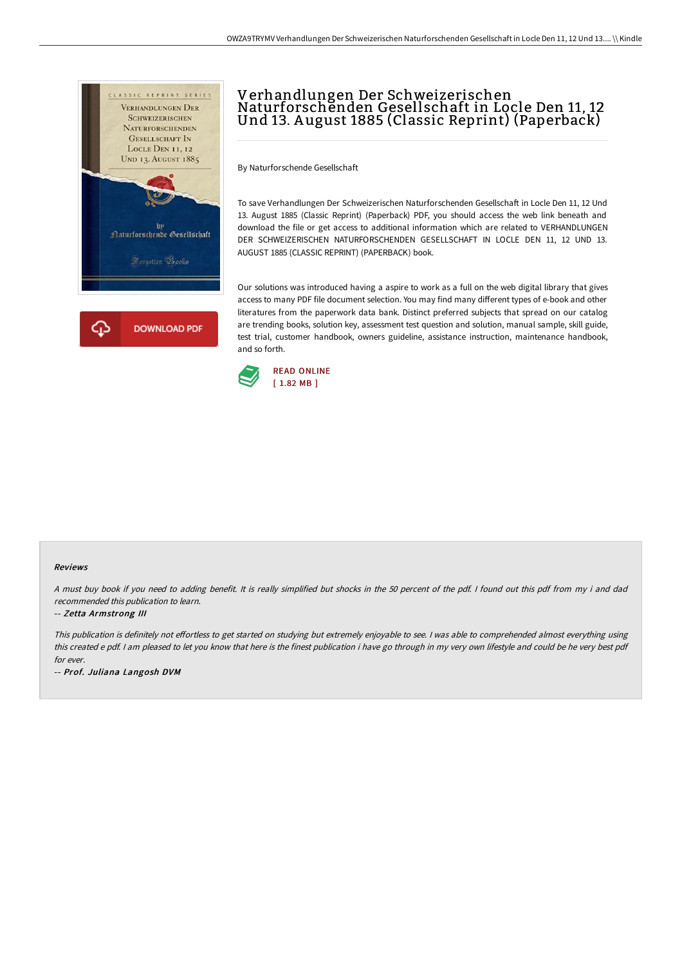

## Verhandlungen Der Schweizerischen Naturforschenden Gesellschaft in Locle Den 11, 12 Und 13. A ugust 1885 (Classic Reprint) (Paperback)

By Naturforschende Gesellschaft

To save Verhandlungen Der Schweizerischen Naturforschenden Gesellschaft in Locle Den 11, 12 Und 13. August 1885 (Classic Reprint) (Paperback) PDF, you should access the web link beneath and download the file or get access to additional information which are related to VERHANDLUNGEN DER SCHWEIZERISCHEN NATURFORSCHENDEN GESELLSCHAFT IN LOCLE DEN 11, 12 UND 13. AUGUST 1885 (CLASSIC REPRINT) (PAPERBACK) book.

Our solutions was introduced having a aspire to work as a full on the web digital library that gives access to many PDF file document selection. You may find many different types of e-book and other literatures from the paperwork data bank. Distinct preferred subjects that spread on our catalog are trending books, solution key, assessment test question and solution, manual sample, skill guide, test trial, customer handbook, owners guideline, assistance instruction, maintenance handbook, and so forth.



## Reviews

<sup>A</sup> must buy book if you need to adding benefit. It is really simplified but shocks in the <sup>50</sup> percent of the pdf. <sup>I</sup> found out this pdf from my i and dad recommended this publication to learn.

## -- Zetta Armstrong III

This publication is definitely not effortless to get started on studying but extremely enjoyable to see. I was able to comprehended almost everything using this created <sup>e</sup> pdf. <sup>I</sup> am pleased to let you know that here is the finest publication i have go through in my very own lifestyle and could be he very best pdf for ever.

-- Prof. Juliana Langosh DVM